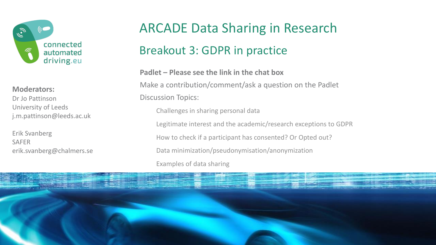

#### **Moderators:**

Dr Jo Pattinson University of Leeds j.m.pattinson@leeds.ac.uk

Erik Svanberg SAFER erik.svanberg@chalmers.se

## ARCADE Data Sharing in Research

### Breakout 3: GDPR in practice

**Padlet – Please see the link in the chat box** Make a contribution/comment/ask a question on the Padlet Discussion Topics: Challenges in sharing personal data Legitimate interest and the academic/research exceptions to GDPR

How to check if a participant has consented? Or Opted out?

Data minimization/pseudonymisation/anonymization

Examples of data sharing